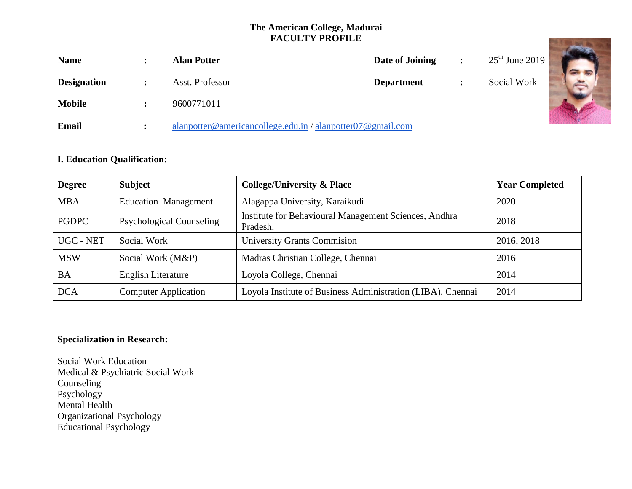# **The American College, Madurai FACULTY PROFILE**

|                    |                | <b>FACULTY PROFILE</b>                                   |                   |                  |  |
|--------------------|----------------|----------------------------------------------------------|-------------------|------------------|--|
| <b>Name</b>        |                | <b>Alan Potter</b>                                       | Date of Joining   | $25th$ June 2019 |  |
| <b>Designation</b> |                | Asst. Professor                                          | <b>Department</b> | Social Work      |  |
| <b>Mobile</b>      |                | 9600771011                                               |                   |                  |  |
| Email              | $\ddot{\cdot}$ | alanpotter@americancollege.edu.in/alanpotter07@gmail.com |                   |                  |  |

## **I. Education Qualification:**

| <b>Degree</b> | <b>Subject</b>                  | <b>College/University &amp; Place</b>                             | <b>Year Completed</b> |
|---------------|---------------------------------|-------------------------------------------------------------------|-----------------------|
| <b>MBA</b>    | <b>Education Management</b>     | Alagappa University, Karaikudi                                    | 2020                  |
| <b>PGDPC</b>  | <b>Psychological Counseling</b> | Institute for Behavioural Management Sciences, Andhra<br>Pradesh. | 2018                  |
| UGC - NET     | Social Work                     | <b>University Grants Commission</b>                               | 2016, 2018            |
| <b>MSW</b>    | Social Work (M&P)               | Madras Christian College, Chennai                                 | 2016                  |
| <b>BA</b>     | <b>English Literature</b>       | Loyola College, Chennai                                           | 2014                  |
| <b>DCA</b>    | <b>Computer Application</b>     | Loyola Institute of Business Administration (LIBA), Chennai       | 2014                  |

## **Specialization in Research:**

Social Work Education Medical & Psychiatric Social Work Counseling Psychology Mental Health Organizational Psychology Educational Psychology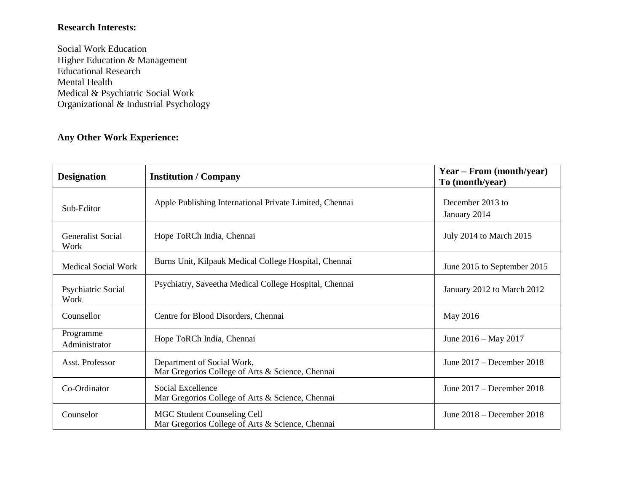# **Research Interests:**

Social Work Education Higher Education & Management Educational Research Mental Health Medical & Psychiatric Social Work Organizational & Industrial Psychology

## **Any Other Work Experience:**

| <b>Designation</b>               | <b>Institution / Company</b>                                                           | Year – From (month/year)<br>To (month/year) |
|----------------------------------|----------------------------------------------------------------------------------------|---------------------------------------------|
| Sub-Editor                       | Apple Publishing International Private Limited, Chennai                                | December 2013 to<br>January 2014            |
| <b>Generalist Social</b><br>Work | Hope ToRCh India, Chennai                                                              | July 2014 to March 2015                     |
| <b>Medical Social Work</b>       | Burns Unit, Kilpauk Medical College Hospital, Chennai                                  | June 2015 to September 2015                 |
| Psychiatric Social<br>Work       | Psychiatry, Saveetha Medical College Hospital, Chennai                                 | January 2012 to March 2012                  |
| Counsellor                       | Centre for Blood Disorders, Chennai                                                    | May 2016                                    |
| Programme<br>Administrator       | Hope ToRCh India, Chennai                                                              | June $2016 - May 2017$                      |
| Asst. Professor                  | Department of Social Work,<br>Mar Gregorios College of Arts & Science, Chennai         | June $2017 -$ December 2018                 |
| Co-Ordinator                     | Social Excellence<br>Mar Gregorios College of Arts & Science, Chennai                  | June $2017 -$ December 2018                 |
| Counselor                        | <b>MGC Student Counseling Cell</b><br>Mar Gregorios College of Arts & Science, Chennai | June $2018 -$ December 2018                 |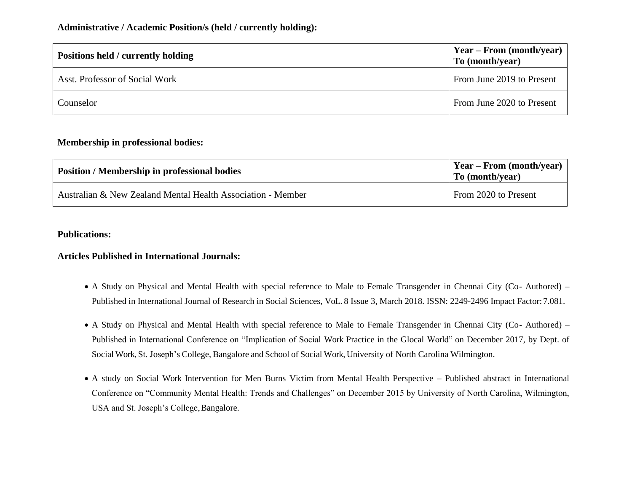## **Administrative / Academic Position/s (held / currently holding):**

| Positions held / currently holding | $Year - From (month/year)$<br>To (month/year) |  |
|------------------------------------|-----------------------------------------------|--|
| Asst. Professor of Social Work     | From June 2019 to Present                     |  |
| Counselor                          | From June 2020 to Present                     |  |

### **Membership in professional bodies:**

| <b>Position / Membership in professional bodies</b>         | $\gamma$ Year – From (month/year)<br>To (month/year) |
|-------------------------------------------------------------|------------------------------------------------------|
| Australian & New Zealand Mental Health Association - Member | From 2020 to Present                                 |

#### **Publications:**

### **Articles Published in International Journals:**

- A Study on Physical and Mental Health with special reference to Male to Female Transgender in Chennai City (Co- Authored) Published in International Journal of Research in Social Sciences, VoL. 8 Issue 3, March 2018. ISSN: 2249-2496 Impact Factor: 7.081.
- A Study on Physical and Mental Health with special reference to Male to Female Transgender in Chennai City (Co- Authored) Published in International Conference on "Implication of Social Work Practice in the Glocal World" on December 2017, by Dept. of Social Work, St. Joseph's College, Bangalore and School of Social Work, University of North Carolina Wilmington.
- A study on Social Work Intervention for Men Burns Victim from Mental Health Perspective Published abstract in International Conference on "Community Mental Health: Trends and Challenges" on December 2015 by University of North Carolina, Wilmington, USA and St. Joseph's College, Bangalore.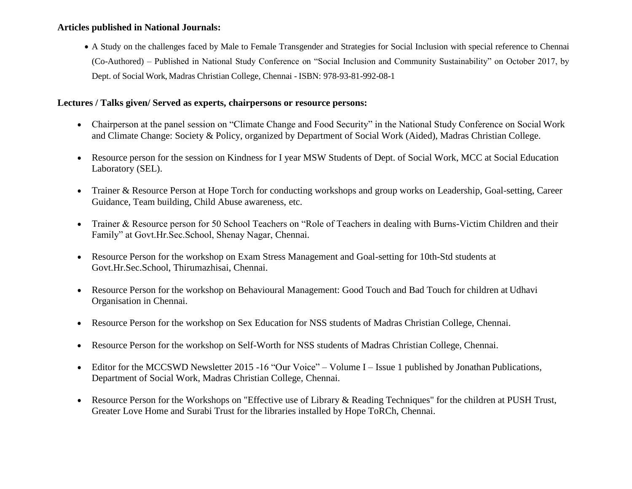### **Articles published in National Journals:**

 A Study on the challenges faced by Male to Female Transgender and Strategies for Social Inclusion with special reference to Chennai (Co-Authored) – Published in National Study Conference on "Social Inclusion and Community Sustainability" on October 2017, by Dept. of Social Work, Madras Christian College, Chennai - ISBN: 978-93-81-992-08-1

### **Lectures / Talks given/ Served as experts, chairpersons or resource persons:**

- Chairperson at the panel session on "Climate Change and Food Security" in the National Study Conference on Social Work and Climate Change: Society & Policy, organized by Department of Social Work (Aided), Madras Christian College.
- Resource person for the session on Kindness for I year MSW Students of Dept. of Social Work, MCC at Social Education Laboratory (SEL).
- Trainer & Resource Person at Hope Torch for conducting workshops and group works on Leadership, Goal-setting, Career Guidance, Team building, Child Abuse awareness, etc.
- Trainer & Resource person for 50 School Teachers on "Role of Teachers in dealing with Burns-Victim Children and their Family" at Govt.Hr.Sec.School, Shenay Nagar, Chennai.
- Resource Person for the workshop on Exam Stress Management and Goal-setting for 10th-Std students at Govt.Hr.Sec.School, Thirumazhisai, Chennai.
- Resource Person for the workshop on Behavioural Management: Good Touch and Bad Touch for children at Udhavi Organisation in Chennai.
- Resource Person for the workshop on Sex Education for NSS students of Madras Christian College, Chennai.
- Resource Person for the workshop on Self-Worth for NSS students of Madras Christian College, Chennai.
- Editor for the MCCSWD Newsletter 2015 -16 "Our Voice" Volume I Issue 1 published by Jonathan Publications, Department of Social Work, Madras Christian College, Chennai.
- Resource Person for the Workshops on "Effective use of Library & Reading Techniques" for the children at PUSH Trust, Greater Love Home and Surabi Trust for the libraries installed by Hope ToRCh, Chennai.